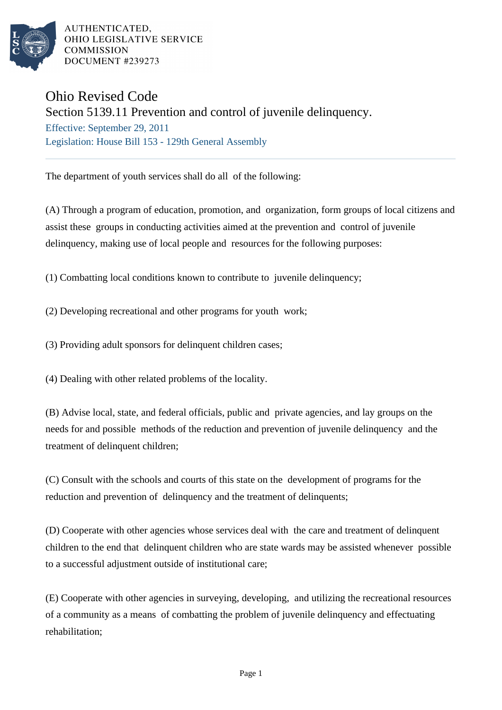

AUTHENTICATED. OHIO LEGISLATIVE SERVICE **COMMISSION** DOCUMENT #239273

## Ohio Revised Code

## Section 5139.11 Prevention and control of juvenile delinquency.

Effective: September 29, 2011 Legislation: House Bill 153 - 129th General Assembly

The department of youth services shall do all of the following:

(A) Through a program of education, promotion, and organization, form groups of local citizens and assist these groups in conducting activities aimed at the prevention and control of juvenile delinquency, making use of local people and resources for the following purposes:

(1) Combatting local conditions known to contribute to juvenile delinquency;

(2) Developing recreational and other programs for youth work;

(3) Providing adult sponsors for delinquent children cases;

(4) Dealing with other related problems of the locality.

(B) Advise local, state, and federal officials, public and private agencies, and lay groups on the needs for and possible methods of the reduction and prevention of juvenile delinquency and the treatment of delinquent children;

(C) Consult with the schools and courts of this state on the development of programs for the reduction and prevention of delinquency and the treatment of delinquents;

(D) Cooperate with other agencies whose services deal with the care and treatment of delinquent children to the end that delinquent children who are state wards may be assisted whenever possible to a successful adjustment outside of institutional care;

(E) Cooperate with other agencies in surveying, developing, and utilizing the recreational resources of a community as a means of combatting the problem of juvenile delinquency and effectuating rehabilitation;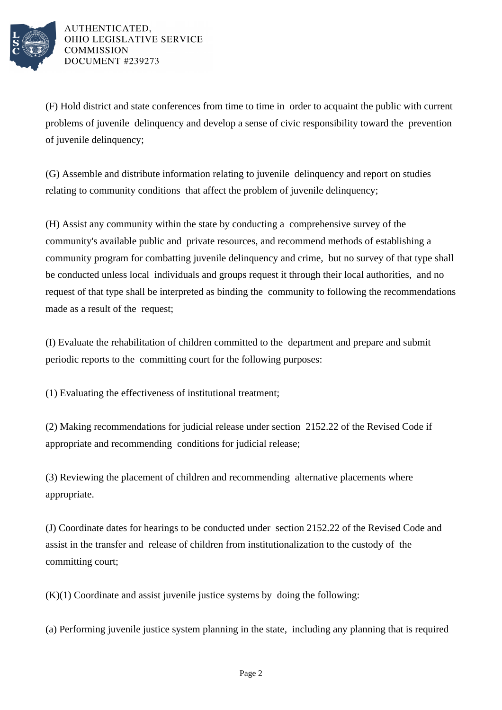

AUTHENTICATED. OHIO LEGISLATIVE SERVICE **COMMISSION** DOCUMENT #239273

(F) Hold district and state conferences from time to time in order to acquaint the public with current problems of juvenile delinquency and develop a sense of civic responsibility toward the prevention of juvenile delinquency;

(G) Assemble and distribute information relating to juvenile delinquency and report on studies relating to community conditions that affect the problem of juvenile delinquency;

(H) Assist any community within the state by conducting a comprehensive survey of the community's available public and private resources, and recommend methods of establishing a community program for combatting juvenile delinquency and crime, but no survey of that type shall be conducted unless local individuals and groups request it through their local authorities, and no request of that type shall be interpreted as binding the community to following the recommendations made as a result of the request;

(I) Evaluate the rehabilitation of children committed to the department and prepare and submit periodic reports to the committing court for the following purposes:

(1) Evaluating the effectiveness of institutional treatment;

(2) Making recommendations for judicial release under section 2152.22 of the Revised Code if appropriate and recommending conditions for judicial release;

(3) Reviewing the placement of children and recommending alternative placements where appropriate.

(J) Coordinate dates for hearings to be conducted under section 2152.22 of the Revised Code and assist in the transfer and release of children from institutionalization to the custody of the committing court;

 $(K)(1)$  Coordinate and assist juvenile justice systems by doing the following:

(a) Performing juvenile justice system planning in the state, including any planning that is required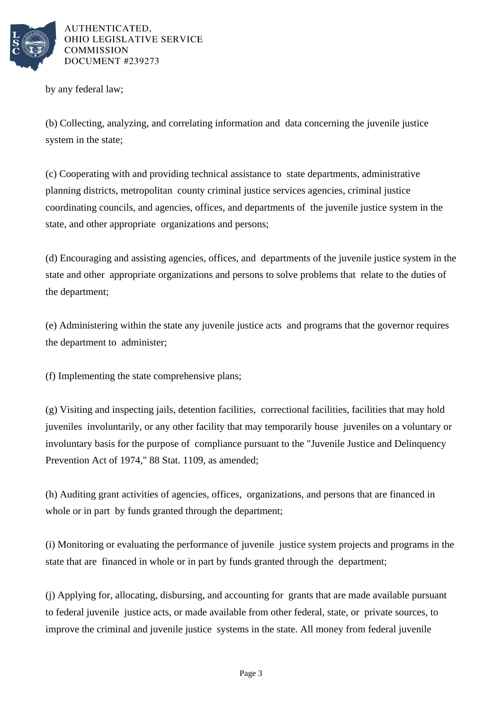

AUTHENTICATED, OHIO LEGISLATIVE SERVICE **COMMISSION** DOCUMENT #239273

by any federal law;

(b) Collecting, analyzing, and correlating information and data concerning the juvenile justice system in the state;

(c) Cooperating with and providing technical assistance to state departments, administrative planning districts, metropolitan county criminal justice services agencies, criminal justice coordinating councils, and agencies, offices, and departments of the juvenile justice system in the state, and other appropriate organizations and persons;

(d) Encouraging and assisting agencies, offices, and departments of the juvenile justice system in the state and other appropriate organizations and persons to solve problems that relate to the duties of the department;

(e) Administering within the state any juvenile justice acts and programs that the governor requires the department to administer;

(f) Implementing the state comprehensive plans;

(g) Visiting and inspecting jails, detention facilities, correctional facilities, facilities that may hold juveniles involuntarily, or any other facility that may temporarily house juveniles on a voluntary or involuntary basis for the purpose of compliance pursuant to the "Juvenile Justice and Delinquency Prevention Act of 1974," 88 Stat. 1109, as amended;

(h) Auditing grant activities of agencies, offices, organizations, and persons that are financed in whole or in part by funds granted through the department;

(i) Monitoring or evaluating the performance of juvenile justice system projects and programs in the state that are financed in whole or in part by funds granted through the department;

(j) Applying for, allocating, disbursing, and accounting for grants that are made available pursuant to federal juvenile justice acts, or made available from other federal, state, or private sources, to improve the criminal and juvenile justice systems in the state. All money from federal juvenile